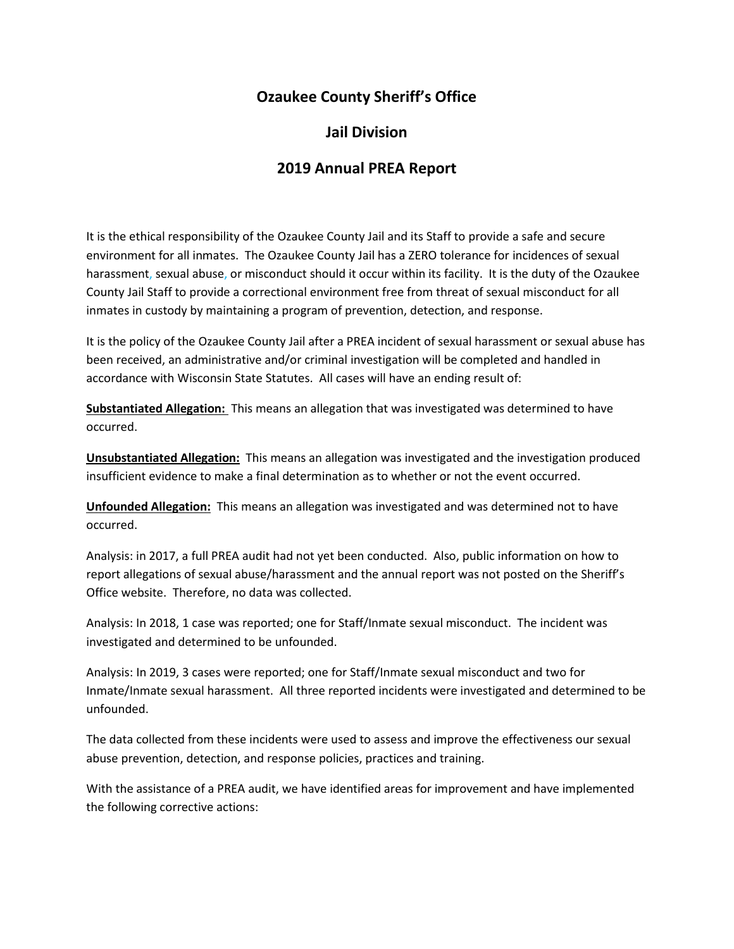## **Ozaukee County Sheriff's Office**

## **Jail Division**

## **2019 Annual PREA Report**

It is the ethical responsibility of the Ozaukee County Jail and its Staff to provide a safe and secure environment for all inmates. The Ozaukee County Jail has a ZERO tolerance for incidences of sexual harassment, sexual abuse, or misconduct should it occur within its facility. It is the duty of the Ozaukee County Jail Staff to provide a correctional environment free from threat of sexual misconduct for all inmates in custody by maintaining a program of prevention, detection, and response.

It is the policy of the Ozaukee County Jail after a PREA incident of sexual harassment or sexual abuse has been received, an administrative and/or criminal investigation will be completed and handled in accordance with Wisconsin State Statutes. All cases will have an ending result of:

**Substantiated Allegation:** This means an allegation that was investigated was determined to have occurred.

**Unsubstantiated Allegation:** This means an allegation was investigated and the investigation produced insufficient evidence to make a final determination as to whether or not the event occurred.

**Unfounded Allegation:** This means an allegation was investigated and was determined not to have occurred.

Analysis: in 2017, a full PREA audit had not yet been conducted. Also, public information on how to report allegations of sexual abuse/harassment and the annual report was not posted on the Sheriff's Office website. Therefore, no data was collected.

Analysis: In 2018, 1 case was reported; one for Staff/Inmate sexual misconduct. The incident was investigated and determined to be unfounded.

Analysis: In 2019, 3 cases were reported; one for Staff/Inmate sexual misconduct and two for Inmate/Inmate sexual harassment. All three reported incidents were investigated and determined to be unfounded.

The data collected from these incidents were used to assess and improve the effectiveness our sexual abuse prevention, detection, and response policies, practices and training.

With the assistance of a PREA audit, we have identified areas for improvement and have implemented the following corrective actions: